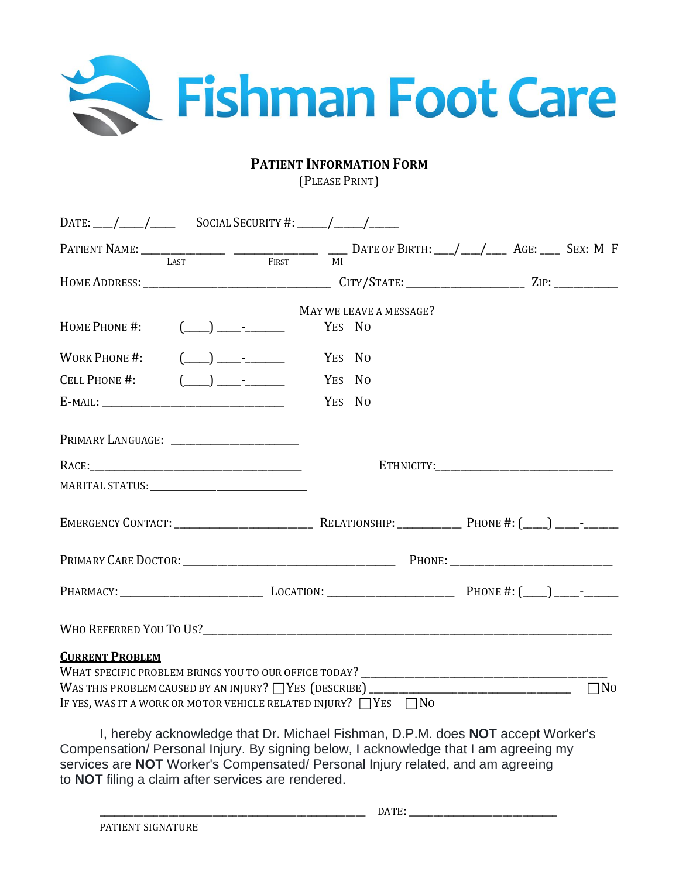

# **PATIENT INFORMATION FORM**

(PLEASE PRINT)

|                                                                             |                                                                                                                                                                                                                                                                                                                                                     |        |                                                                                 | PATIENT NAME: $\frac{1}{\text{LAST}}$ $\frac{1}{\text{RIST}}$ $\frac{1}{\text{N}}$ DATE OF BIRTH: $\frac{1}{\text{M}}$ AGE: $\frac{1}{\text{SEX: M}}$ F |           |
|-----------------------------------------------------------------------------|-----------------------------------------------------------------------------------------------------------------------------------------------------------------------------------------------------------------------------------------------------------------------------------------------------------------------------------------------------|--------|---------------------------------------------------------------------------------|---------------------------------------------------------------------------------------------------------------------------------------------------------|-----------|
|                                                                             |                                                                                                                                                                                                                                                                                                                                                     |        |                                                                                 |                                                                                                                                                         |           |
|                                                                             |                                                                                                                                                                                                                                                                                                                                                     |        | MAY WE LEAVE A MESSAGE?                                                         |                                                                                                                                                         |           |
| HOME PHONE #:                                                               | $(\_\_) \_\_\_$                                                                                                                                                                                                                                                                                                                                     |        | YES NO                                                                          |                                                                                                                                                         |           |
| WORK PHONE #:                                                               | $(\underline{\hspace{1cm}})$ $\underline{\hspace{1cm}}$                                                                                                                                                                                                                                                                                             | YES NO |                                                                                 |                                                                                                                                                         |           |
| CELL PHONE #:                                                               | $\begin{picture}(20,20) \put(0,0){\line(1,0){10}} \put(15,0){\line(1,0){10}} \put(15,0){\line(1,0){10}} \put(15,0){\line(1,0){10}} \put(15,0){\line(1,0){10}} \put(15,0){\line(1,0){10}} \put(15,0){\line(1,0){10}} \put(15,0){\line(1,0){10}} \put(15,0){\line(1,0){10}} \put(15,0){\line(1,0){10}} \put(15,0){\line(1,0){10}} \put(15,0){\line(1$ |        | YES NO                                                                          |                                                                                                                                                         |           |
|                                                                             |                                                                                                                                                                                                                                                                                                                                                     |        | YES NO                                                                          |                                                                                                                                                         |           |
|                                                                             |                                                                                                                                                                                                                                                                                                                                                     |        |                                                                                 |                                                                                                                                                         |           |
|                                                                             |                                                                                                                                                                                                                                                                                                                                                     |        |                                                                                 |                                                                                                                                                         |           |
|                                                                             |                                                                                                                                                                                                                                                                                                                                                     |        |                                                                                 |                                                                                                                                                         |           |
|                                                                             |                                                                                                                                                                                                                                                                                                                                                     |        |                                                                                 |                                                                                                                                                         |           |
|                                                                             |                                                                                                                                                                                                                                                                                                                                                     |        |                                                                                 |                                                                                                                                                         |           |
|                                                                             |                                                                                                                                                                                                                                                                                                                                                     |        |                                                                                 |                                                                                                                                                         |           |
|                                                                             |                                                                                                                                                                                                                                                                                                                                                     |        |                                                                                 |                                                                                                                                                         |           |
| <b>CURRENT PROBLEM</b>                                                      |                                                                                                                                                                                                                                                                                                                                                     |        |                                                                                 |                                                                                                                                                         |           |
|                                                                             |                                                                                                                                                                                                                                                                                                                                                     |        |                                                                                 |                                                                                                                                                         | $\Box$ No |
| IF YES, WAS IT A WORK OR MOTOR VEHICLE RELATED INJURY? $\Box$ YES $\Box$ No |                                                                                                                                                                                                                                                                                                                                                     |        |                                                                                 |                                                                                                                                                         |           |
|                                                                             |                                                                                                                                                                                                                                                                                                                                                     |        |                                                                                 | I, hereby acknowledge that Dr. Michael Fishman, D.P.M. does <b>NOT</b> accept Worker's                                                                  |           |
| to <b>NOT</b> filing a claim after services are rendered.                   |                                                                                                                                                                                                                                                                                                                                                     |        | services are NOT Worker's Compensated/ Personal Injury related, and am agreeing | Compensation/ Personal Injury. By signing below, I acknowledge that I am agreeing my                                                                    |           |

 $\overline{\phantom{a}}$  DATE: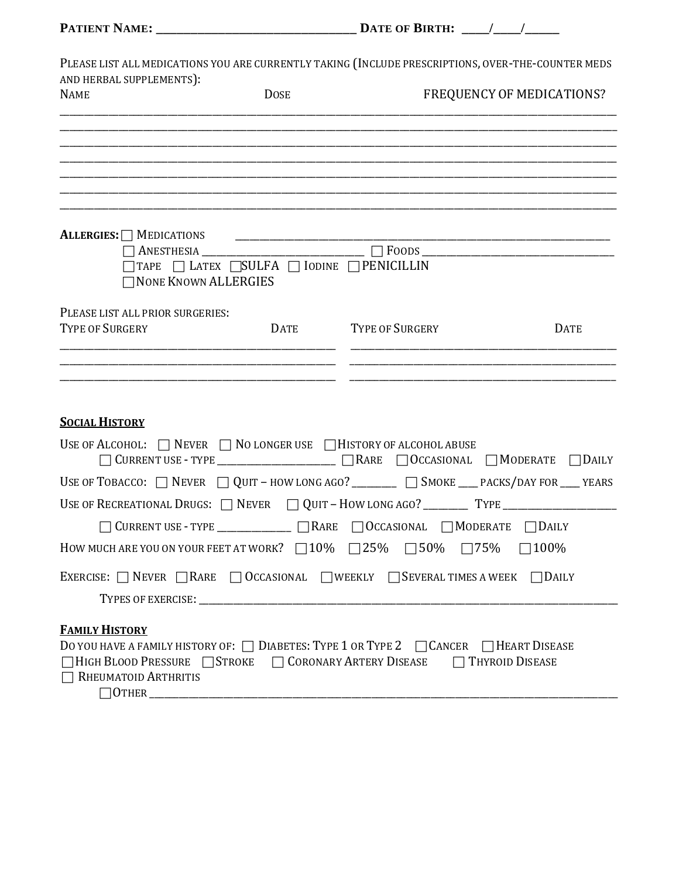PLEASE LIST ALL MEDICATIONS YOU ARE CURRENTLY TAKING (INCLUDE PRESCRIPTIONS, OVER-THE-COUNTER MEDS AND HERBAL SUPPLEMENTS):

| <b>NAME</b>                                                                       | <b>DOSE</b>                         |                                                                                                                      | FREQUENCY OF MEDICATIONS? |
|-----------------------------------------------------------------------------------|-------------------------------------|----------------------------------------------------------------------------------------------------------------------|---------------------------|
|                                                                                   |                                     |                                                                                                                      |                           |
|                                                                                   |                                     |                                                                                                                      |                           |
|                                                                                   |                                     |                                                                                                                      |                           |
| ALLERGIES: $\Box$ MEDICATIONS                                                     |                                     | <u> 1980 - Johann Barbara, martxa alemaniar argumento de la contrada de la contrada de la contrada de la contrad</u> |                           |
|                                                                                   |                                     |                                                                                                                      |                           |
| <b>NONE KNOWN ALLERGIES</b>                                                       | TAPE ILATEX SULFA IODINE PENICILLIN |                                                                                                                      |                           |
| PLEASE LIST ALL PRIOR SURGERIES:                                                  |                                     |                                                                                                                      |                           |
| TYPE OF SURGERY                                                                   | DATE                                | TYPE OF SURGERY                                                                                                      | <b>DATE</b>               |
|                                                                                   |                                     |                                                                                                                      |                           |
|                                                                                   |                                     |                                                                                                                      |                           |
| <b>SOCIAL HISTORY</b>                                                             |                                     |                                                                                                                      |                           |
| USE OF ALCOHOL: $\Box$ Never $\Box$ No longer use $\Box$ History of alcohol abuse |                                     | $\bigcap$ OCCASIONAL $\bigcap$ MODERATE                                                                              | $\Box$ Daily              |
|                                                                                   |                                     | USE OF TOBACCO: $\Box$ NEVER $\Box$ QUIT - HOW LONG AGO? ________ $\Box$ SMOKE ___ PACKS/DAY FOR ___ YEARS           |                           |
|                                                                                   |                                     |                                                                                                                      |                           |
|                                                                                   |                                     | CURRENT USE - TYPE ______________ _ _ _ RARE _ _ OCCASIONAL _ _ MODERATE                                             | $\Box$ Daily              |
|                                                                                   |                                     | HOW MUCH ARE YOU ON YOUR FEET AT WORK? $\Box$ 10% $\Box$ 25% $\Box$ 50% $\Box$ 75%                                   | $\Box$ 100%               |
|                                                                                   |                                     | EXERCISE: $\Box$ NEVER $\Box$ RARE $\Box$ OCCASIONAL $\Box$ WEEKLY $\Box$ SEVERAL TIMES A WEEK                       | $\Box$ Daily              |
|                                                                                   |                                     |                                                                                                                      |                           |
| <b>FAMILY HISTORY</b>                                                             |                                     |                                                                                                                      |                           |
|                                                                                   |                                     | DO YOU HAVE A FAMILY HISTORY OF: $\Box$ DIABETES: TYPE 1 OR TYPE 2 $\Box$ CANCER $\Box$ HEART DISEASE                |                           |
| $\Box$ RHEUMATOID ARTHRITIS                                                       |                                     | □HIGH BLOOD PRESSURE STROKE □ CORONARY ARTERY DISEASE □ THYROID DISEASE                                              |                           |
|                                                                                   |                                     |                                                                                                                      |                           |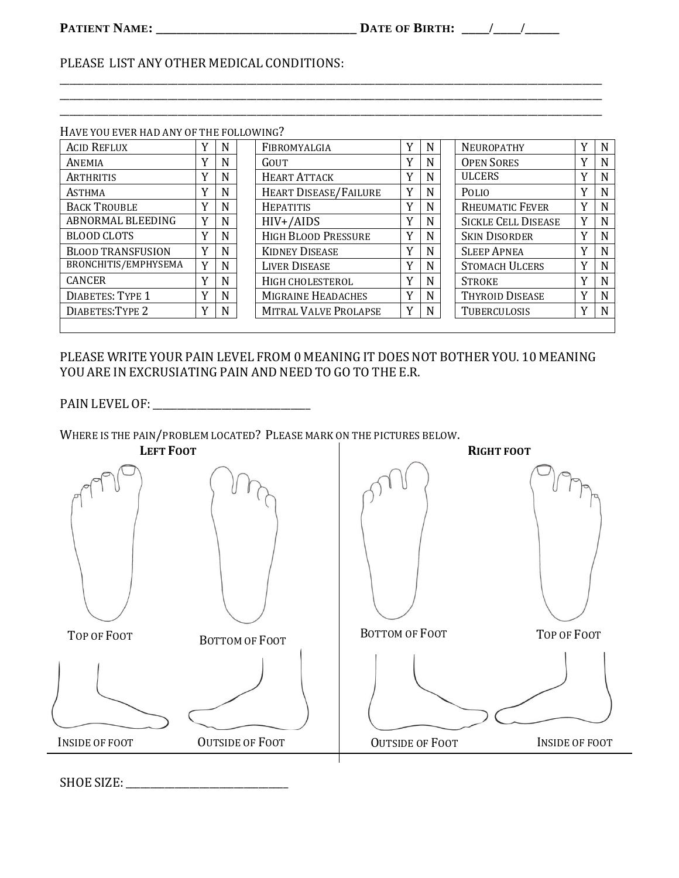### PLEASE LIST ANY OTHER MEDICAL CONDITIONS:

| HAVE YOU EVER HAD ANY OF THE FOLLOWING? |   |   |                              |             |   |                            |   |   |
|-----------------------------------------|---|---|------------------------------|-------------|---|----------------------------|---|---|
| <b>ACID REFLUX</b>                      | v | N | FIBROMYALGIA                 | v           | N | <b>NEUROPATHY</b>          | v | N |
| ANEMIA                                  | v | N | GOUT                         | Y           | N | <b>OPEN SORES</b>          | Y | N |
| <b>ARTHRITIS</b>                        | v | N | <b>HEART ATTACK</b>          | Y           | N | <b>ULCERS</b>              | Y | N |
| <b>ASTHMA</b>                           | Y | N | <b>HEART DISEASE/FAILURE</b> | Y           | N | <b>POLIO</b>               | Y | N |
| <b>BACK TROUBLE</b>                     | Y | N | <b>HEPATITIS</b>             | Y           | N | <b>RHEUMATIC FEVER</b>     | Y | N |
| ABNORMAL BLEEDING                       | Y | N | $HIV+ / AIDS$                | $\mathbf v$ | N | <b>SICKLE CELL DISEASE</b> | Y | N |
| <b>BLOOD CLOTS</b>                      | v | N | <b>HIGH BLOOD PRESSURE</b>   | v           | N | <b>SKIN DISORDER</b>       | Y | N |
| <b>BLOOD TRANSFUSION</b>                | Y | N | <b>KIDNEY DISEASE</b>        | Y           | N | <b>SLEEP APNEA</b>         | Y | N |
| BRONCHITIS/EMPHYSEMA                    | Y | N | <b>LIVER DISEASE</b>         | Y           | N | <b>STOMACH ULCERS</b>      | Y | N |
| <b>CANCER</b>                           | Y | N | HIGH CHOLESTEROL             | Y           | N | <b>STROKE</b>              | Y | N |
| <b>DIABETES: TYPE 1</b>                 | v | N | MIGRAINE HEADACHES           | Y           | N | THYROID DISEASE            | Y | N |
| DIABETES: TYPE 2                        | Y | N | <b>MITRAL VALVE PROLAPSE</b> | Y           | N | <b>TUBERCULOSIS</b>        | Y | N |
|                                         |   |   |                              |             |   |                            |   |   |

### PLEASE WRITE YOUR PAIN LEVEL FROM 0 MEANING IT DOES NOT BOTHER YOU. 10 MEANING YOU ARE IN EXCRUSIATING PAIN AND NEED TO GO TO THE E.R.

WHERE IS THE PAIN/PROBLEM LOCATED? PLEASE MARK ON THE PICTURES BELOW.

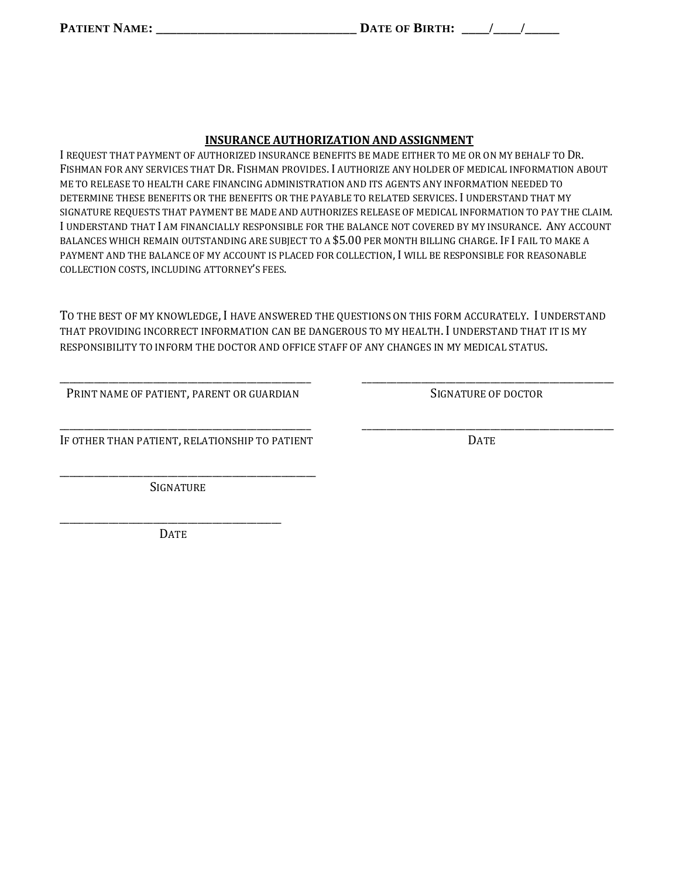### **INSURANCE AUTHORIZATION AND ASSIGNMENT**

I REQUEST THAT PAYMENT OF AUTHORIZED INSURANCE BENEFITS BE MADE EITHER TO ME OR ON MY BEHALF TO DR. FISHMAN FOR ANY SERVICES THAT DR. FISHMAN PROVIDES. I AUTHORIZE ANY HOLDER OF MEDICAL INFORMATION ABOUT ME TO RELEASE TO HEALTH CARE FINANCING ADMINISTRATION AND ITS AGENTS ANY INFORMATION NEEDED TO DETERMINE THESE BENEFITS OR THE BENEFITS OR THE PAYABLE TO RELATED SERVICES. I UNDERSTAND THAT MY SIGNATURE REQUESTS THAT PAYMENT BE MADE AND AUTHORIZES RELEASE OF MEDICAL INFORMATION TO PAY THE CLAIM. I UNDERSTAND THAT I AM FINANCIALLY RESPONSIBLE FOR THE BALANCE NOT COVERED BY MY INSURANCE. ANY ACCOUNT BALANCES WHICH REMAIN OUTSTANDING ARE SUBJECT TO A \$5.00 PER MONTH BILLING CHARGE. IF I FAIL TO MAKE A PAYMENT AND THE BALANCE OF MY ACCOUNT IS PLACED FOR COLLECTION, I WILL BE RESPONSIBLE FOR REASONABLE COLLECTION COSTS, INCLUDING ATTORNEY'S FEES.

TO THE BEST OF MY KNOWLEDGE, I HAVE ANSWERED THE QUESTIONS ON THIS FORM ACCURATELY. I UNDERSTAND THAT PROVIDING INCORRECT INFORMATION CAN BE DANGEROUS TO MY HEALTH. I UNDERSTAND THAT IT IS MY RESPONSIBILITY TO INFORM THE DOCTOR AND OFFICE STAFF OF ANY CHANGES IN MY MEDICAL STATUS.

\_\_\_\_\_\_\_\_\_\_\_\_\_\_\_\_\_\_\_\_\_\_\_\_\_\_\_\_\_\_\_\_\_\_\_\_\_\_\_\_\_\_\_\_\_\_\_\_\_\_\_ \_\_\_\_\_\_\_\_\_\_\_\_\_\_\_\_\_\_\_\_\_\_\_\_\_\_\_\_\_\_\_\_\_\_\_\_\_\_\_\_\_\_\_\_\_\_\_\_\_\_\_

\_\_\_\_\_\_\_\_\_\_\_\_\_\_\_\_\_\_\_\_\_\_\_\_\_\_\_\_\_\_\_\_\_\_\_\_\_\_\_\_\_\_\_\_\_\_\_\_\_\_\_ \_\_\_\_\_\_\_\_\_\_\_\_\_\_\_\_\_\_\_\_\_\_\_\_\_\_\_\_\_\_\_\_\_\_\_\_\_\_\_\_\_\_\_\_\_\_\_\_\_\_\_

PRINT NAME OF PATIENT, PARENT OR GUARDIAN SIGNATURE OF DOCTOR

IF OTHER THAN PATIENT, RELATIONSHIP TO PATIENT DATE

\_\_\_\_\_\_\_\_\_\_\_\_\_\_\_\_\_\_\_\_\_\_\_\_\_\_\_\_\_\_\_\_\_\_\_\_\_\_\_\_\_\_\_\_\_\_\_\_\_\_\_\_

SIGNATURE

\_\_\_\_\_\_\_\_\_\_\_\_\_\_\_\_\_\_\_\_\_\_\_\_\_\_\_\_\_\_\_\_\_\_\_\_\_\_\_\_\_\_\_\_\_ **DATE**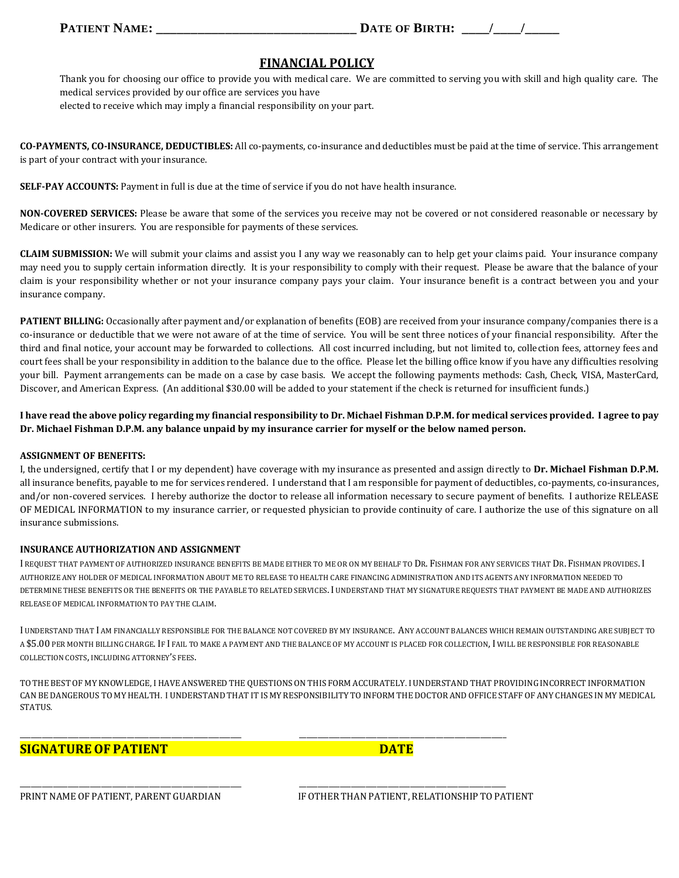### **FINANCIAL POLICY**

Thank you for choosing our office to provide you with medical care. We are committed to serving you with skill and high quality care. The medical services provided by our office are services you have elected to receive which may imply a financial responsibility on your part.

**CO-PAYMENTS, CO-INSURANCE, DEDUCTIBLES:** All co-payments, co-insurance and deductibles must be paid at the time of service. This arrangement is part of your contract with your insurance.

**SELF-PAY ACCOUNTS:** Payment in full is due at the time of service if you do not have health insurance.

**NON-COVERED SERVICES:** Please be aware that some of the services you receive may not be covered or not considered reasonable or necessary by Medicare or other insurers. You are responsible for payments of these services.

**CLAIM SUBMISSION:** We will submit your claims and assist you I any way we reasonably can to help get your claims paid. Your insurance company may need you to supply certain information directly. It is your responsibility to comply with their request. Please be aware that the balance of your claim is your responsibility whether or not your insurance company pays your claim. Your insurance benefit is a contract between you and your insurance company.

**PATIENT BILLING:** Occasionally after payment and/or explanation of benefits (EOB) are received from your insurance company/companies there is a co-insurance or deductible that we were not aware of at the time of service. You will be sent three notices of your financial responsibility. After the third and final notice, your account may be forwarded to collections. All cost incurred including, but not limited to, collection fees, attorney fees and court fees shall be your responsibility in addition to the balance due to the office. Please let the billing office know if you have any difficulties resolving your bill. Payment arrangements can be made on a case by case basis. We accept the following payments methods: Cash, Check, VISA, MasterCard, Discover, and American Express. (An additional \$30.00 will be added to your statement if the check is returned for insufficient funds.)

**I have read the above policy regarding my financial responsibility to Dr. Michael Fishman D.P.M. for medical services provided. I agree to pay Dr. Michael Fishman D.P.M. any balance unpaid by my insurance carrier for myself or the below named person.**

### **ASSIGNMENT OF BENEFITS:**

I, the undersigned, certify that I or my dependent) have coverage with my insurance as presented and assign directly to **Dr. Michael Fishman D.P.M.**  all insurance benefits, payable to me for services rendered. I understand that I am responsible for payment of deductibles, co-payments, co-insurances, and/or non-covered services. I hereby authorize the doctor to release all information necessary to secure payment of benefits. I authorize RELEASE OF MEDICAL INFORMATION to my insurance carrier, or requested physician to provide continuity of care. I authorize the use of this signature on all insurance submissions.

### **INSURANCE AUTHORIZATION AND ASSIGNMENT**

I REQUEST THAT PAYMENT OF AUTHORIZED INSURANCE BENEFITS BE MADE EITHER TO ME OR ON MY BEHALF TO DR. FISHMAN FOR ANY SERVICES THAT DR. FISHMAN PROVIDES. I AUTHORIZE ANY HOLDER OF MEDICAL INFORMATION ABOUT ME TO RELEASE TO HEALTH CARE FINANCING ADMINISTRATION AND ITS AGENTS ANY INFORMATION NEEDED TO DETERMINE THESE BENEFITS OR THE BENEFITS OR THE PAYABLE TO RELATED SERVICES. I UNDERSTAND THAT MY SIGNATURE REQUESTS THAT PAYMENT BE MADE AND AUTHORIZES RELEASE OF MEDICAL INFORMATION TO PAY THE CLAIM.

I UNDERSTAND THAT I AM FINANCIALLY RESPONSIBLE FOR THE BALANCE NOT COVERED BY MY INSURANCE. ANY ACCOUNT BALANCES WHICH REMAIN OUTSTANDING ARE SUBJECT TO A \$5.00 PER MONTH BILLING CHARGE. IF I FAIL TO MAKE A PAYMENT AND THE BALANCE OF MY ACCOUNT IS PLACED FOR COLLECTION, I WILL BE RESPONSIBLE FOR REASONABLE COLLECTION COSTS, INCLUDING ATTORNEY'S FEES.

TO THE BEST OF MY KNOWLEDGE, I HAVE ANSWEREDTHE QUESTIONS ON THIS FORM ACCURATELY. I UNDERSTANDTHAT PROVIDING INCORRECT INFORMATION CAN BE DANGEROUS TO MY HEALTH. I UNDERSTAND THAT IT IS MY RESPONSIBILITY TO INFORM THE DOCTOR AND OFFICE STAFF OF ANY CHANGES IN MY MEDICAL STATUS.

\_\_\_\_\_\_\_\_\_\_\_\_\_\_\_\_\_\_\_\_\_\_\_\_\_\_\_\_\_\_\_\_\_\_\_\_\_\_\_\_\_\_\_\_\_\_\_\_\_\_\_\_\_\_\_\_\_\_\_\_ \_\_\_\_\_\_\_\_\_\_\_\_\_\_\_\_\_\_\_\_\_\_\_\_\_\_\_\_\_\_\_\_\_\_\_\_\_\_\_\_\_\_\_\_\_\_\_\_\_\_\_\_\_\_\_\_

\_\_\_\_\_\_\_\_\_\_\_\_\_\_\_\_\_\_\_\_\_\_\_\_\_\_\_\_\_\_\_\_\_\_\_\_\_\_\_\_\_\_\_\_\_\_\_\_\_\_\_\_\_\_\_\_\_\_\_\_ \_\_\_\_\_\_\_\_\_\_\_\_\_\_\_\_\_\_\_\_\_\_\_\_\_\_\_\_\_\_\_\_\_\_\_\_\_\_\_\_\_\_\_\_\_\_\_\_\_\_\_\_\_\_\_\_

### **SIGNATURE OF PATIENT DATE**

PRINT NAME OF PATIENT, PARENT GUARDIAN IF OTHER THAN PATIENT, RELATIONSHIP TO PATIENT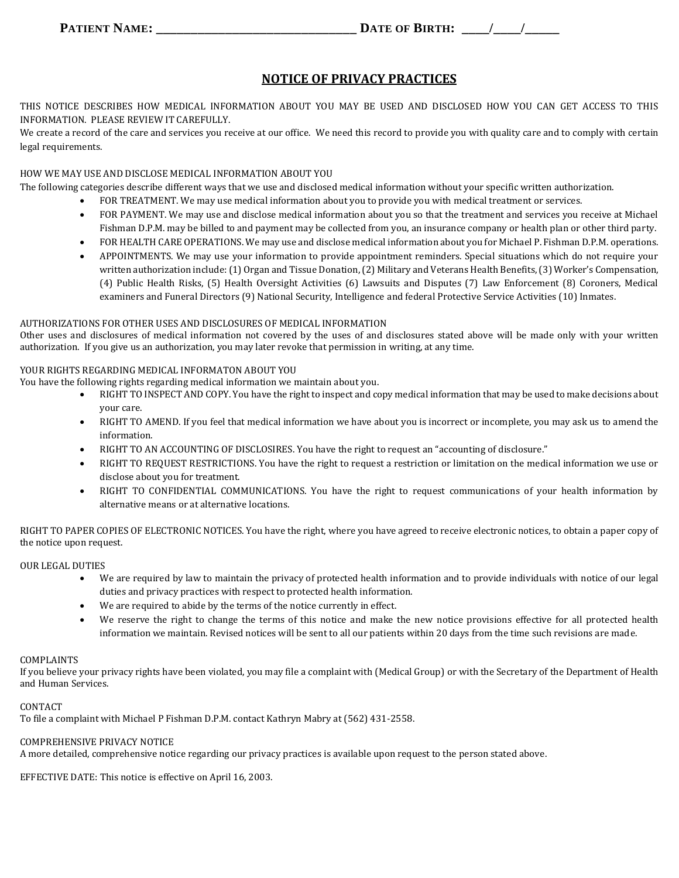### **NOTICE OF PRIVACY PRACTICES**

THIS NOTICE DESCRIBES HOW MEDICAL INFORMATION ABOUT YOU MAY BE USED AND DISCLOSED HOW YOU CAN GET ACCESS TO THIS INFORMATION. PLEASE REVIEW IT CAREFULLY.

We create a record of the care and services you receive at our office. We need this record to provide you with quality care and to comply with certain legal requirements.

#### HOW WE MAY USE AND DISCLOSE MEDICAL INFORMATION ABOUT YOU

The following categories describe different ways that we use and disclosed medical information without your specific written authorization.

- FOR TREATMENT. We may use medical information about you to provide you with medical treatment or services.
- FOR PAYMENT. We may use and disclose medical information about you so that the treatment and services you receive at Michael Fishman D.P.M. may be billed to and payment may be collected from you, an insurance company or health plan or other third party.
- FOR HEALTH CARE OPERATIONS. We may use and disclose medical information about you for Michael P. Fishman D.P.M. operations.
- APPOINTMENTS. We may use your information to provide appointment reminders. Special situations which do not require your written authorization include: (1) Organ and Tissue Donation, (2) Military and Veterans Health Benefits, (3) Worker's Compensation, (4) Public Health Risks, (5) Health Oversight Activities (6) Lawsuits and Disputes (7) Law Enforcement (8) Coroners, Medical examiners and Funeral Directors (9) National Security, Intelligence and federal Protective Service Activities (10) Inmates.

#### AUTHORIZATIONS FOR OTHER USES AND DISCLOSURES OF MEDICAL INFORMATION

Other uses and disclosures of medical information not covered by the uses of and disclosures stated above will be made only with your written authorization. If you give us an authorization, you may later revoke that permission in writing, at any time.

#### YOUR RIGHTS REGARDING MEDICAL INFORMATON ABOUT YOU

- You have the following rights regarding medical information we maintain about you.
	- RIGHT TO INSPECT AND COPY. You have the right to inspect and copy medical information that may be used to make decisions about your care.
	- RIGHT TO AMEND. If you feel that medical information we have about you is incorrect or incomplete, you may ask us to amend the information.
	- RIGHT TO AN ACCOUNTING OF DISCLOSIRES. You have the right to request an "accounting of disclosure."
	- RIGHT TO REQUEST RESTRICTIONS. You have the right to request a restriction or limitation on the medical information we use or disclose about you for treatment.
	- RIGHT TO CONFIDENTIAL COMMUNICATIONS. You have the right to request communications of your health information by alternative means or at alternative locations.

RIGHT TO PAPER COPIES OF ELECTRONIC NOTICES. You have the right, where you have agreed to receive electronic notices, to obtain a paper copy of the notice upon request.

#### OUR LEGAL DUTIES

- We are required by law to maintain the privacy of protected health information and to provide individuals with notice of our legal duties and privacy practices with respect to protected health information.
- We are required to abide by the terms of the notice currently in effect.
- We reserve the right to change the terms of this notice and make the new notice provisions effective for all protected health information we maintain. Revised notices will be sent to all our patients within 20 days from the time such revisions are made.

#### COMPLAINTS

If you believe your privacy rights have been violated, you may file a complaint with (Medical Group) or with the Secretary of the Department of Health and Human Services.

#### **CONTACT**

To file a complaint with Michael P Fishman D.P.M. contact Kathryn Mabry at (562) 431-2558.

#### COMPREHENSIVE PRIVACY NOTICE

A more detailed, comprehensive notice regarding our privacy practices is available upon request to the person stated above.

EFFECTIVE DATE: This notice is effective on April 16, 2003.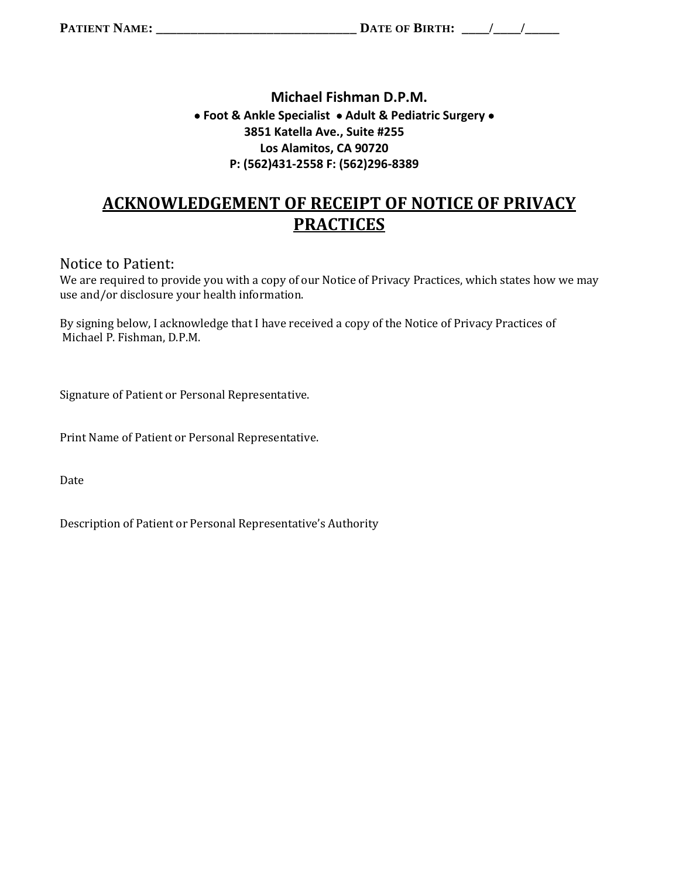### **Michael Fishman D.P.M. Foot & Ankle Specialist Adult & Pediatric Surgery 3851 Katella Ave., Suite #255 Los Alamitos, CA 90720 P: (562)431-2558 F: (562)296-8389**

# **ACKNOWLEDGEMENT OF RECEIPT OF NOTICE OF PRIVACY PRACTICES**

### Notice to Patient:

We are required to provide you with a copy of our Notice of Privacy Practices, which states how we may use and/or disclosure your health information.

By signing below, I acknowledge that I have received a copy of the Notice of Privacy Practices of Michael P. Fishman, D.P.M.

Signature of Patient or Personal Representative.

Print Name of Patient or Personal Representative.

Date

Description of Patient or Personal Representative's Authority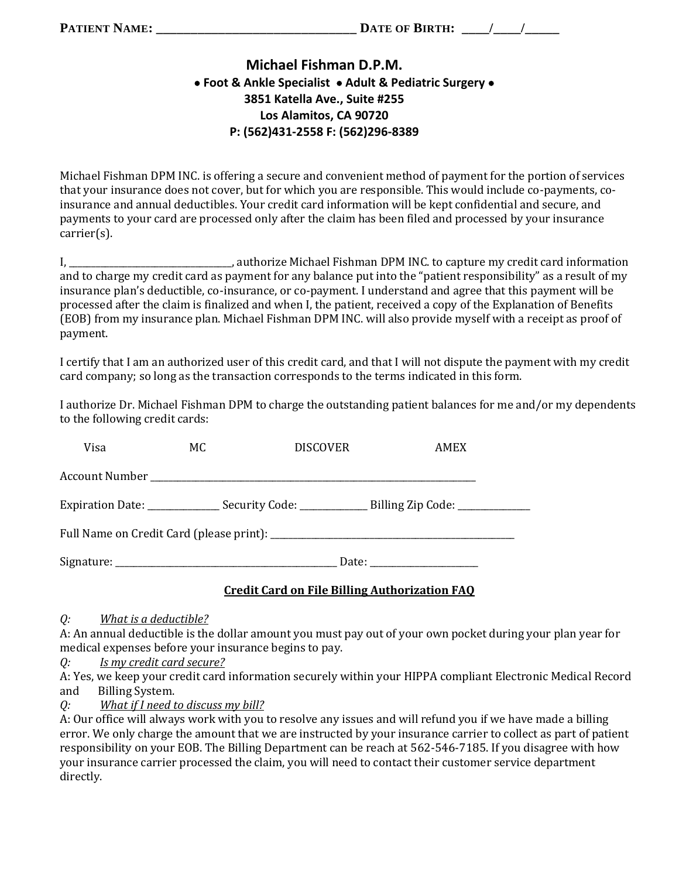## **Michael Fishman D.P.M. Foot & Ankle Specialist Adult & Pediatric Surgery 3851 Katella Ave., Suite #255 Los Alamitos, CA 90720 P: (562)431-2558 F: (562)296-8389**

Michael Fishman DPM INC. is offering a secure and convenient method of payment for the portion of services that your insurance does not cover, but for which you are responsible. This would include co-payments, coinsurance and annual deductibles. Your credit card information will be kept confidential and secure, and payments to your card are processed only after the claim has been filed and processed by your insurance carrier(s).

I, \_\_\_\_\_\_\_\_\_\_\_\_\_\_\_\_\_\_\_\_\_\_\_\_\_\_\_\_\_\_\_\_\_\_\_\_, authorize Michael Fishman DPM INC. to capture my credit card information and to charge my credit card as payment for any balance put into the "patient responsibility" as a result of my insurance plan's deductible, co-insurance, or co-payment. I understand and agree that this payment will be processed after the claim is finalized and when I, the patient, received a copy of the Explanation of Benefits (EOB) from my insurance plan. Michael Fishman DPM INC. will also provide myself with a receipt as proof of payment.

I certify that I am an authorized user of this credit card, and that I will not dispute the payment with my credit card company; so long as the transaction corresponds to the terms indicated in this form.

I authorize Dr. Michael Fishman DPM to charge the outstanding patient balances for me and/or my dependents to the following credit cards:

| Visa | MC. | <b>DISCOVER</b> | AMEX                                                                                                 |  |  |  |
|------|-----|-----------------|------------------------------------------------------------------------------------------------------|--|--|--|
|      |     |                 |                                                                                                      |  |  |  |
|      |     |                 | Expiration Date: __________________Security Code: __________________Billing Zip Code: ______________ |  |  |  |
|      |     |                 |                                                                                                      |  |  |  |
|      |     |                 | Date: $\frac{1}{\sqrt{1-\frac{1}{2}} \cdot \frac{1}{2}}$                                             |  |  |  |

### **Credit Card on File Billing Authorization FAQ**

*Q: What is a deductible?*

A: An annual deductible is the dollar amount you must pay out of your own pocket during your plan year for medical expenses before your insurance begins to pay.

*Q: Is my credit card secure?*

A: Yes, we keep your credit card information securely within your HIPPA compliant Electronic Medical Record and Billing System.

*Q: What if I need to discuss my bill?*

A: Our office will always work with you to resolve any issues and will refund you if we have made a billing error. We only charge the amount that we are instructed by your insurance carrier to collect as part of patient responsibility on your EOB. The Billing Department can be reach at 562-546-7185. If you disagree with how your insurance carrier processed the claim, you will need to contact their customer service department directly.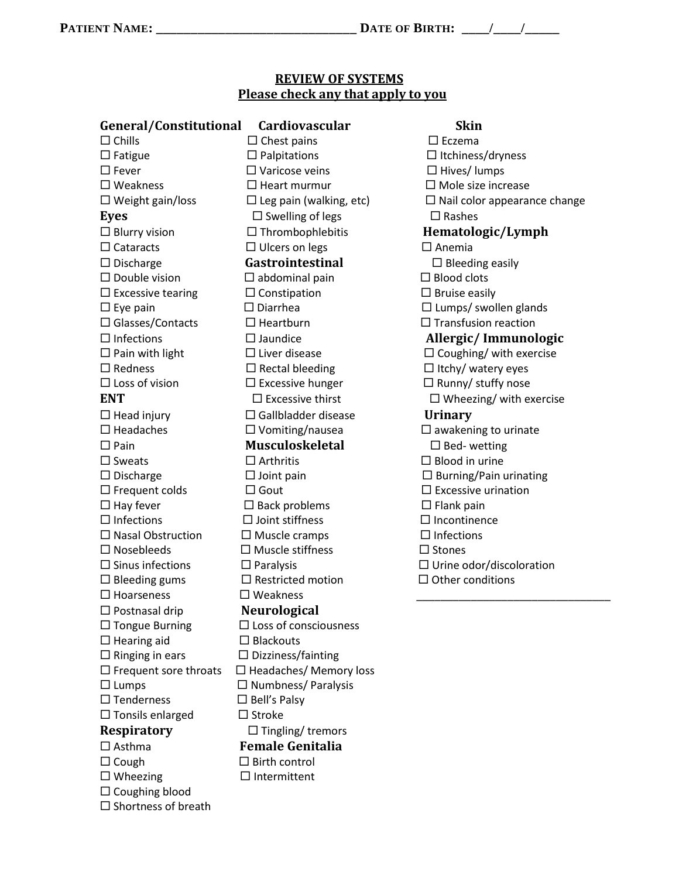$\square$  Shortness of breath

## **REVIEW OF SYSTEMS Please check any that apply to you**

| General/Constitutional       | <b>Cardiovascular</b>           | <b>Skin</b>                         |
|------------------------------|---------------------------------|-------------------------------------|
| $\Box$ Chills                | $\Box$ Chest pains              | $\square$ Eczema                    |
| $\Box$ Fatigue               | $\Box$ Palpitations             | $\Box$ Itchiness/dryness            |
| $\Box$ Fever                 | $\Box$ Varicose veins           | $\Box$ Hives/ lumps                 |
| $\square$ Weakness           | $\Box$ Heart murmur             | $\Box$ Mole size increase           |
| $\Box$ Weight gain/loss      | $\Box$ Leg pain (walking, etc)  | $\Box$ Nail color appearance change |
| Eyes                         | $\square$ Swelling of legs      | $\Box$ Rashes                       |
| $\Box$ Blurry vision         | $\Box$ Thrombophlebitis         | Hematologic/Lymph                   |
| $\Box$ Cataracts             | $\Box$ Ulcers on legs           | $\square$ Anemia                    |
| $\Box$ Discharge             | Gastrointestinal                | $\Box$ Bleeding easily              |
| $\square$ Double vision      | $\Box$ abdominal pain           | $\Box$ Blood clots                  |
| $\Box$ Excessive tearing     | $\Box$ Constipation             | $\Box$ Bruise easily                |
| $\Box$ Eye pain              | $\Box$ Diarrhea                 | $\Box$ Lumps/ swollen glands        |
| $\Box$ Glasses/Contacts      | $\Box$ Heartburn                | $\Box$ Transfusion reaction         |
| $\Box$ Infections            | $\Box$ Jaundice                 | Allergic/Immunologic                |
| $\Box$ Pain with light       | $\Box$ Liver disease            | $\Box$ Coughing/ with exercise      |
| $\Box$ Redness               | $\square$ Rectal bleeding       | $\Box$ Itchy/ watery eyes           |
| $\Box$ Loss of vision        | $\Box$ Excessive hunger         | $\Box$ Runny/ stuffy nose           |
| <b>ENT</b>                   | $\Box$ Excessive thirst         | $\Box$ Wheezing/ with exercise      |
| $\Box$ Head injury           | $\Box$ Gallbladder disease      | <b>Urinary</b>                      |
| $\square$ Headaches          | $\square$ Vomiting/nausea       | $\square$ awakening to urinate      |
| $\square$ Pain               | <b>Musculoskeletal</b>          | $\Box$ Bed-wetting                  |
| $\square$ Sweats             | $\Box$ Arthritis                | $\Box$ Blood in urine               |
| $\Box$ Discharge             | $\Box$ Joint pain               | $\Box$ Burning/Pain urinating       |
| $\Box$ Frequent colds        | $\Box$ Gout                     | $\Box$ Excessive urination          |
| $\Box$ Hay fever             | $\square$ Back problems         | $\Box$ Flank pain                   |
| $\Box$ Infections            | $\Box$ Joint stiffness          | $\Box$ Incontinence                 |
| $\Box$ Nasal Obstruction     | $\Box$ Muscle cramps            | $\Box$ Infections                   |
| $\Box$ Nosebleeds            | $\Box$ Muscle stiffness         | $\Box$ Stones                       |
| $\square$ Sinus infections   | $\Box$ Paralysis                | $\Box$ Urine odor/discoloration     |
| $\Box$ Bleeding gums         | $\Box$ Restricted motion        | $\Box$ Other conditions             |
| $\square$ Hoarseness         | $\square$ Weakness              |                                     |
| $\Box$ Postnasal drip        | Neurological                    |                                     |
| $\Box$ Tongue Burning        | $\square$ Loss of consciousness |                                     |
| $\Box$ Hearing aid           | $\Box$ Blackouts                |                                     |
| $\Box$ Ringing in ears       | $\Box$ Dizziness/fainting       |                                     |
| $\Box$ Frequent sore throats | $\Box$ Headaches/ Memory loss   |                                     |
| $\Box$ Lumps                 | $\Box$ Numbness/ Paralysis      |                                     |
| $\square$ Tenderness         | $\Box$ Bell's Palsy             |                                     |
| $\Box$ Tonsils enlarged      | $\square$ Stroke                |                                     |
| <b>Respiratory</b>           | $\Box$ Tingling/tremors         |                                     |
| $\Box$ Asthma                | <b>Female Genitalia</b>         |                                     |
| $\Box$ Cough                 | $\Box$ Birth control            |                                     |
| $\Box$ Wheezing              | $\Box$ Intermittent             |                                     |
| $\Box$ Coughing blood        |                                 |                                     |